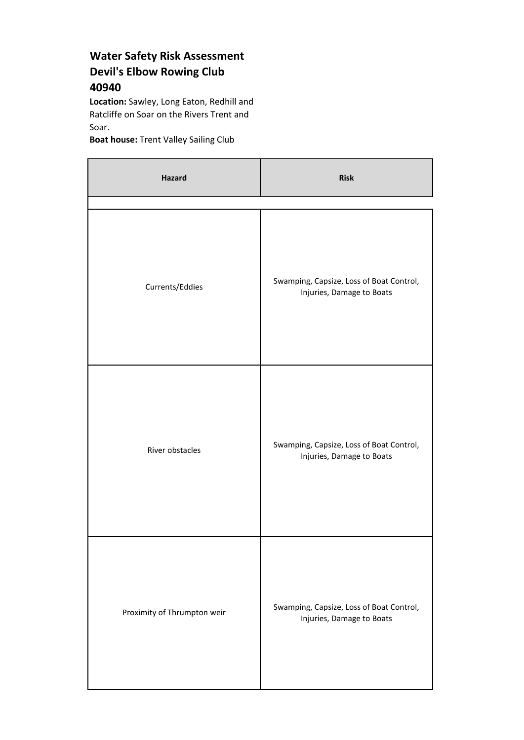## **Water Safety Risk Assessment Devil's Elbow Rowing Club 40940**

**Location:** Sawley, Long Eaton, Redhill and Ratcliffe on Soar on the Rivers Trent and Soar.

**Boat house:** Trent Valley Sailing Club

| <b>Hazard</b>               | <b>Risk</b>                                                           |
|-----------------------------|-----------------------------------------------------------------------|
| Currents/Eddies             | Swamping, Capsize, Loss of Boat Control,<br>Injuries, Damage to Boats |
| River obstacles             | Swamping, Capsize, Loss of Boat Control,<br>Injuries, Damage to Boats |
| Proximity of Thrumpton weir | Swamping, Capsize, Loss of Boat Control,<br>Injuries, Damage to Boats |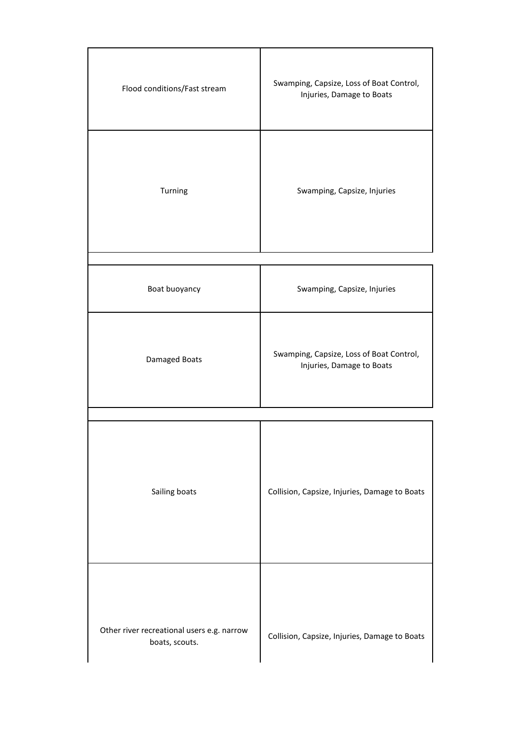| Flood conditions/Fast stream                                 | Swamping, Capsize, Loss of Boat Control,<br>Injuries, Damage to Boats |
|--------------------------------------------------------------|-----------------------------------------------------------------------|
| Turning                                                      | Swamping, Capsize, Injuries                                           |
| Boat buoyancy                                                | Swamping, Capsize, Injuries                                           |
| Damaged Boats                                                | Swamping, Capsize, Loss of Boat Control,<br>Injuries, Damage to Boats |
| Sailing boats                                                | Collision, Capsize, Injuries, Damage to Boats                         |
| Other river recreational users e.g. narrow<br>boats, scouts. | Collision, Capsize, Injuries, Damage to Boats                         |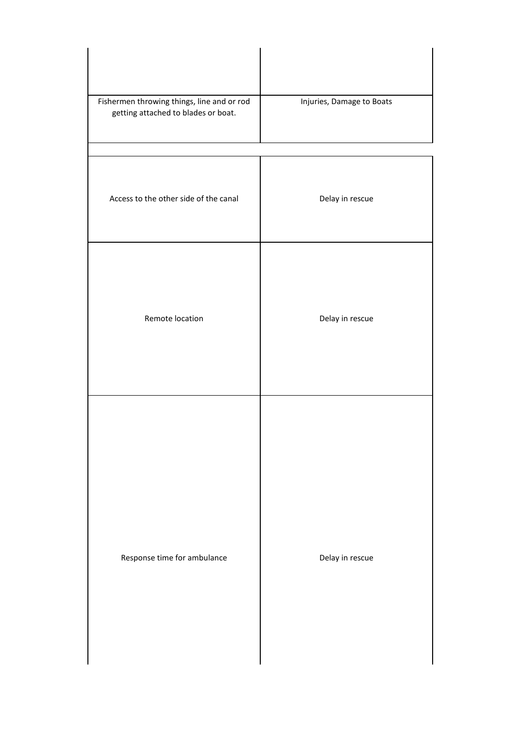| Fishermen throwing things, line and or rod<br>getting attached to blades or boat. | Injuries, Damage to Boats |
|-----------------------------------------------------------------------------------|---------------------------|
| Access to the other side of the canal                                             | Delay in rescue           |
| Remote location                                                                   |                           |
|                                                                                   | Delay in rescue           |
|                                                                                   |                           |
|                                                                                   |                           |
| Response time for ambulance                                                       | Delay in rescue           |
|                                                                                   |                           |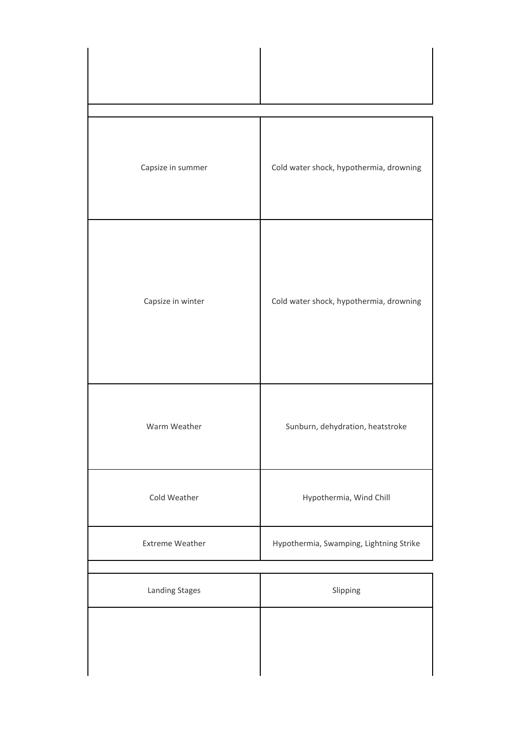| Capsize in summer      | Cold water shock, hypothermia, drowning |
|------------------------|-----------------------------------------|
| Capsize in winter      | Cold water shock, hypothermia, drowning |
| Warm Weather           | Sunburn, dehydration, heatstroke        |
| Cold Weather           | Hypothermia, Wind Chill                 |
| <b>Extreme Weather</b> | Hypothermia, Swamping, Lightning Strike |
| <b>Landing Stages</b>  | Slipping                                |
|                        |                                         |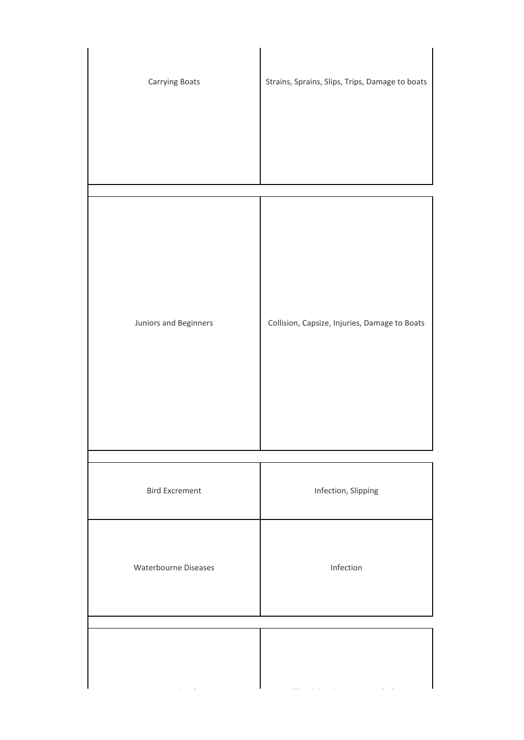| Carrying Boats        | Strains, Sprains, Slips, Trips, Damage to boats |
|-----------------------|-------------------------------------------------|
| Juniors and Beginners | Collision, Capsize, Injuries, Damage to Boats   |
| <b>Bird Excrement</b> | Infection, Slipping                             |
| Waterbourne Diseases  | Infection                                       |
|                       |                                                 |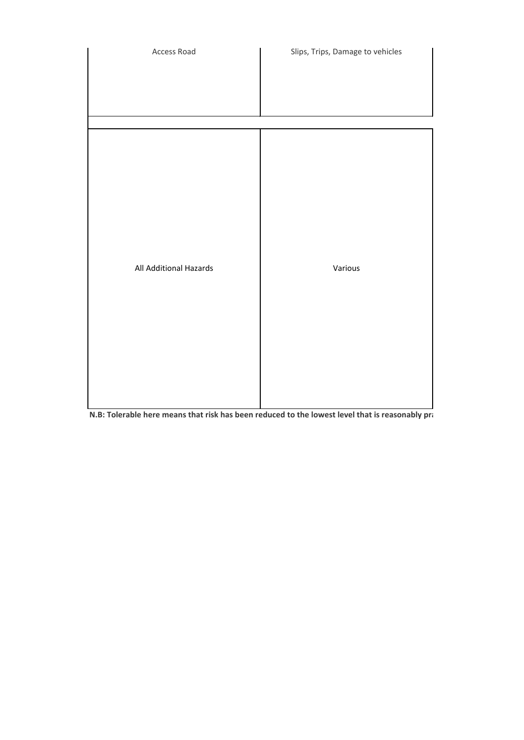

**N.B: Tolerable here means that risk has been reduced to the lowest level that is reasonably practicable**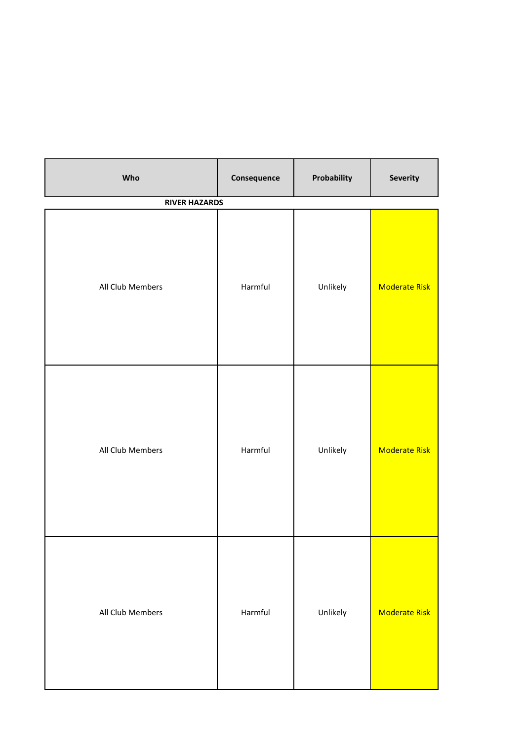| Who                  | Consequence | Probability | Severity             |
|----------------------|-------------|-------------|----------------------|
| <b>RIVER HAZARDS</b> |             |             |                      |
| All Club Members     | Harmful     | Unlikely    | <b>Moderate Risk</b> |
| All Club Members     | Harmful     | Unlikely    | <b>Moderate Risk</b> |
| All Club Members     | Harmful     | Unlikely    | <b>Moderate Risk</b> |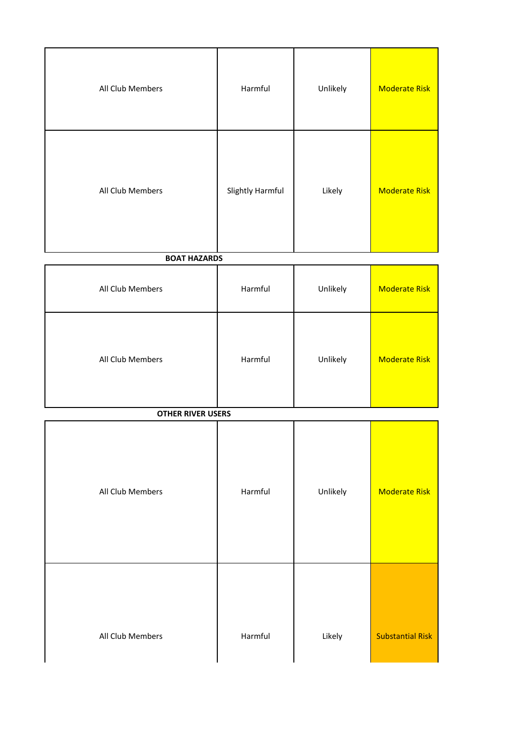| All Club Members         | Harmful          | Unlikely | <b>Moderate Risk</b>    |
|--------------------------|------------------|----------|-------------------------|
| All Club Members         | Slightly Harmful | Likely   | <b>Moderate Risk</b>    |
| <b>BOAT HAZARDS</b>      |                  |          |                         |
| All Club Members         | Harmful          | Unlikely | <b>Moderate Risk</b>    |
| All Club Members         | Harmful          | Unlikely | <b>Moderate Risk</b>    |
| <b>OTHER RIVER USERS</b> |                  |          |                         |
| All Club Members         | Harmful          | Unlikely | <b>Moderate Risk</b>    |
| All Club Members         | Harmful          | Likely   | <b>Substantial Risk</b> |

 $\overline{\phantom{a}}$ 

 $\overline{\phantom{a}}$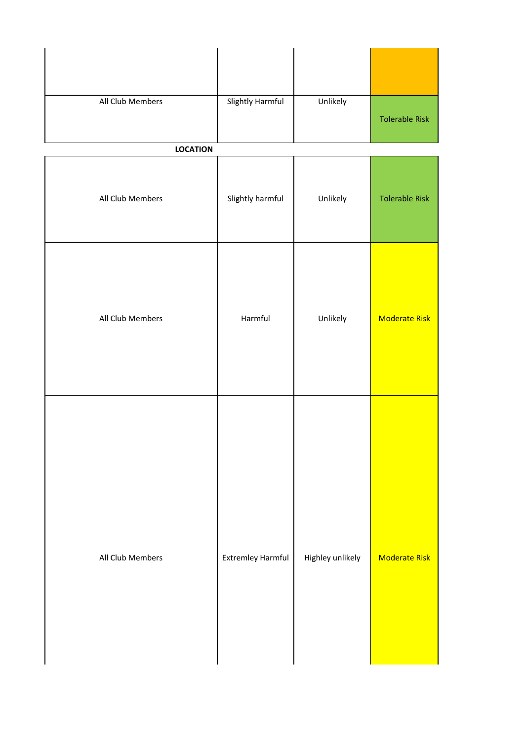| All Club Members | <b>Slightly Harmful</b>  | Unlikely         | <b>Tolerable Risk</b> |
|------------------|--------------------------|------------------|-----------------------|
| <b>LOCATION</b>  |                          |                  |                       |
| All Club Members | Slightly harmful         | Unlikely         | <b>Tolerable Risk</b> |
| All Club Members | Harmful                  | Unlikely         | <b>Moderate Risk</b>  |
| All Club Members | <b>Extremley Harmful</b> | Highley unlikely | <b>Moderate Risk</b>  |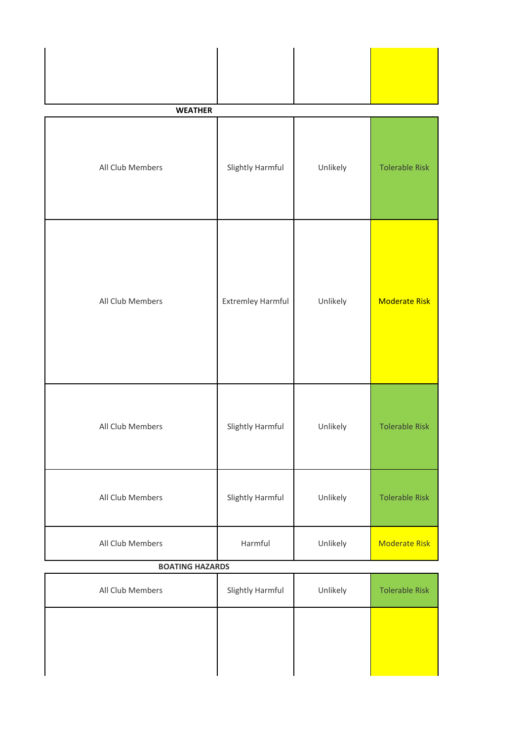| <b>WEATHER</b>         |                   |          |                       |
|------------------------|-------------------|----------|-----------------------|
| All Club Members       | Slightly Harmful  | Unlikely | <b>Tolerable Risk</b> |
| All Club Members       | Extremley Harmful | Unlikely | <b>Moderate Risk</b>  |
| All Club Members       | Slightly Harmful  | Unlikely | <b>Tolerable Risk</b> |
| All Club Members       | Slightly Harmful  | Unlikely | <b>Tolerable Risk</b> |
| All Club Members       | Harmful           | Unlikely | <b>Moderate Risk</b>  |
| <b>BOATING HAZARDS</b> |                   |          |                       |

| All Club Members | Slightly Harmful | Unlikely | <b>Tolerable Risk</b> |
|------------------|------------------|----------|-----------------------|
|                  |                  |          |                       |
|                  |                  |          |                       |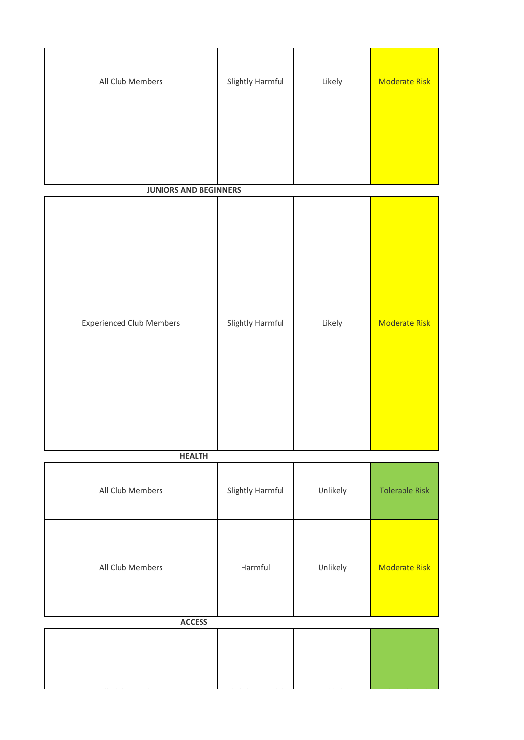| All Club Members                | Slightly Harmful | Likely   | <b>Moderate Risk</b>  |
|---------------------------------|------------------|----------|-----------------------|
| <b>JUNIORS AND BEGINNERS</b>    |                  |          |                       |
| <b>Experienced Club Members</b> | Slightly Harmful | Likely   | <b>Moderate Risk</b>  |
| <b>HEALTH</b>                   |                  |          |                       |
| All Club Members                | Slightly Harmful | Unlikely | <b>Tolerable Risk</b> |
| All Club Members                | Harmful          | Unlikely | <b>Moderate Risk</b>  |
| <b>ACCESS</b>                   |                  |          |                       |
|                                 |                  |          |                       |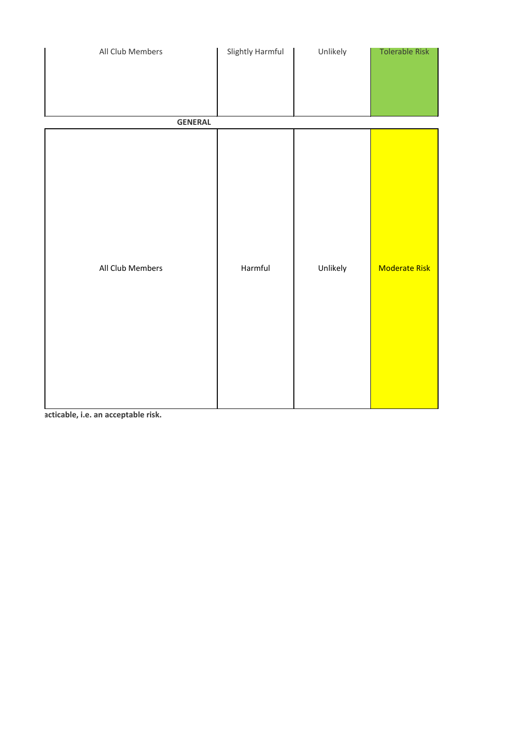| All Club Members | Slightly Harmful | Unlikely | Tolerable Risk       |
|------------------|------------------|----------|----------------------|
|                  |                  |          |                      |
| <b>GENERAL</b>   |                  |          |                      |
| All Club Members | Harmful          | Unlikely | <b>Moderate Risk</b> |

acticable, i.e. an acceptable risk.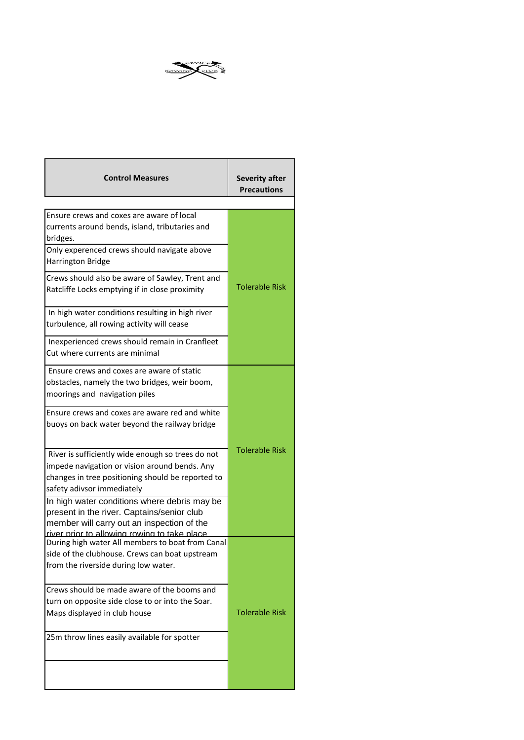

| <b>Control Measures</b>                                                                                                                                                                  | <b>Severity after</b><br><b>Precautions</b> |  |
|------------------------------------------------------------------------------------------------------------------------------------------------------------------------------------------|---------------------------------------------|--|
|                                                                                                                                                                                          |                                             |  |
| Ensure crews and coxes are aware of local<br>currents around bends, island, tributaries and<br>bridges.                                                                                  |                                             |  |
| Only experenced crews should navigate above<br>Harrington Bridge                                                                                                                         |                                             |  |
| Crews should also be aware of Sawley, Trent and<br>Ratcliffe Locks emptying if in close proximity                                                                                        | <b>Tolerable Risk</b>                       |  |
| In high water conditions resulting in high river<br>turbulence, all rowing activity will cease                                                                                           |                                             |  |
| Inexperienced crews should remain in Cranfleet<br>Cut where currents are minimal                                                                                                         |                                             |  |
| Ensure crews and coxes are aware of static<br>obstacles, namely the two bridges, weir boom,<br>moorings and navigation piles                                                             |                                             |  |
| Ensure crews and coxes are aware red and white<br>buoys on back water beyond the railway bridge                                                                                          |                                             |  |
| River is sufficiently wide enough so trees do not<br>impede navigation or vision around bends. Any<br>changes in tree positioning should be reported to<br>safety adivsor immediately    | <b>Tolerable Risk</b>                       |  |
| In high water conditions where debris may be<br>present in the river. Captains/senior club<br>member will carry out an inspection of the<br>river prior to allowing rowing to take place |                                             |  |
| During high water All members to boat from Canal<br>side of the clubhouse. Crews can boat upstream<br>from the riverside during low water.                                               |                                             |  |
| Crews should be made aware of the booms and<br>turn on opposite side close to or into the Soar.<br>Maps displayed in club house                                                          | <b>Tolerable Risk</b>                       |  |
| 25m throw lines easily available for spotter                                                                                                                                             |                                             |  |
|                                                                                                                                                                                          |                                             |  |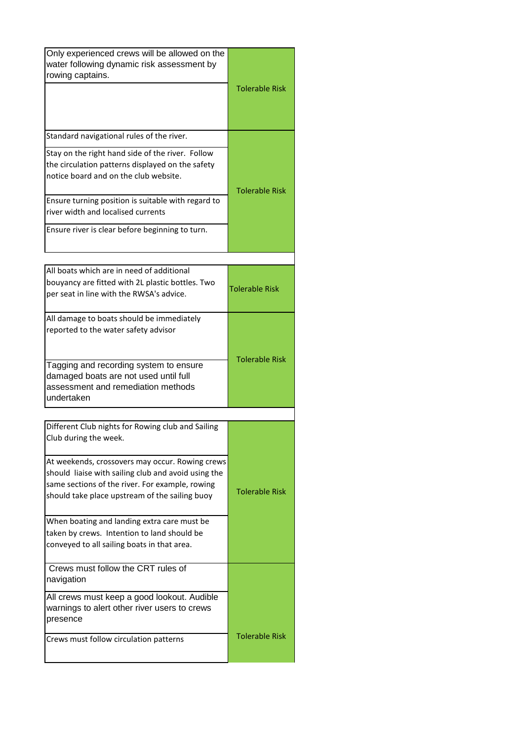| Only experienced crews will be allowed on the<br>water following dynamic risk assessment by<br>rowing captains.                                                                                             | <b>Tolerable Risk</b> |
|-------------------------------------------------------------------------------------------------------------------------------------------------------------------------------------------------------------|-----------------------|
|                                                                                                                                                                                                             |                       |
| Standard navigational rules of the river.                                                                                                                                                                   |                       |
| Stay on the right hand side of the river. Follow<br>the circulation patterns displayed on the safety<br>notice board and on the club website.                                                               | <b>Tolerable Risk</b> |
| Ensure turning position is suitable with regard to<br>river width and localised currents                                                                                                                    |                       |
| Ensure river is clear before beginning to turn.                                                                                                                                                             |                       |
|                                                                                                                                                                                                             |                       |
| All boats which are in need of additional<br>bouyancy are fitted with 2L plastic bottles. Two<br>per seat in line with the RWSA's advice.                                                                   | <b>Tolerable Risk</b> |
| All damage to boats should be immediately<br>reported to the water safety advisor                                                                                                                           | <b>Tolerable Risk</b> |
| Tagging and recording system to ensure<br>damaged boats are not used until full<br>assessment and remediation methods<br>undertaken                                                                         |                       |
|                                                                                                                                                                                                             |                       |
| Different Club nights for Rowing club and Sailing<br>Club during the week.                                                                                                                                  |                       |
| At weekends, crossovers may occur. Rowing crews<br>should liaise with sailing club and avoid using the<br>same sections of the river. For example, rowing<br>should take place upstream of the sailing buoy | <b>Tolerable Risk</b> |
| When boating and landing extra care must be<br>taken by crews. Intention to land should be<br>conveyed to all sailing boats in that area.                                                                   |                       |
| Crews must follow the CRT rules of<br>navigation                                                                                                                                                            |                       |
| All crews must keep a good lookout. Audible<br>warnings to alert other river users to crews<br>presence                                                                                                     |                       |
| Crews must follow circulation patterns                                                                                                                                                                      | <b>Tolerable Risk</b> |
|                                                                                                                                                                                                             |                       |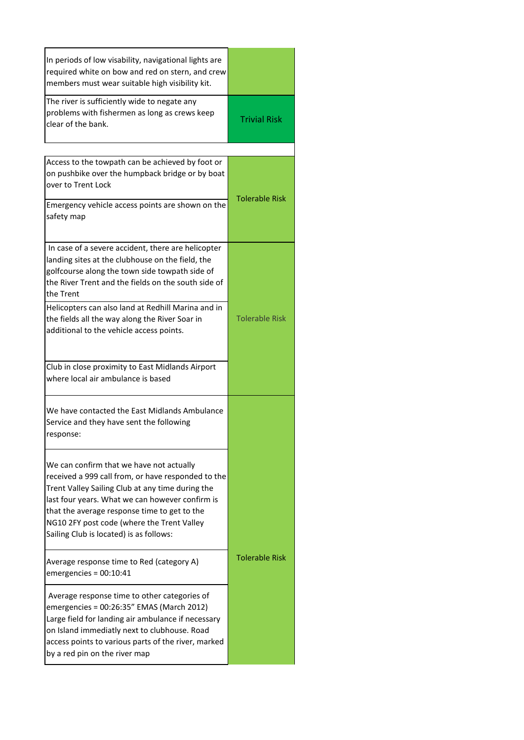| In periods of low visability, navigational lights are<br>required white on bow and red on stern, and crew<br>members must wear suitable high visibility kit.                                                                                                                                                                                   |                       |
|------------------------------------------------------------------------------------------------------------------------------------------------------------------------------------------------------------------------------------------------------------------------------------------------------------------------------------------------|-----------------------|
| The river is sufficiently wide to negate any<br>problems with fishermen as long as crews keep<br>clear of the bank.                                                                                                                                                                                                                            | <b>Trivial Risk</b>   |
|                                                                                                                                                                                                                                                                                                                                                |                       |
| Access to the towpath can be achieved by foot or<br>on pushbike over the humpback bridge or by boat<br>over to Trent Lock                                                                                                                                                                                                                      | <b>Tolerable Risk</b> |
| Emergency vehicle access points are shown on the<br>safety map                                                                                                                                                                                                                                                                                 |                       |
| In case of a severe accident, there are helicopter<br>landing sites at the clubhouse on the field, the<br>golfcourse along the town side towpath side of<br>the River Trent and the fields on the south side of<br>the Trent                                                                                                                   |                       |
| Helicopters can also land at Redhill Marina and in<br>the fields all the way along the River Soar in<br>additional to the vehicle access points.                                                                                                                                                                                               | <b>Tolerable Risk</b> |
| Club in close proximity to East Midlands Airport<br>where local air ambulance is based                                                                                                                                                                                                                                                         |                       |
| We have contacted the East Midlands Ambulance<br>Service and they have sent the following<br>response:                                                                                                                                                                                                                                         |                       |
| We can confirm that we have not actually<br>received a 999 call from, or have responded to the<br>Trent Valley Sailing Club at any time during the<br>last four years. What we can however confirm is<br>that the average response time to get to the<br>NG10 2FY post code (where the Trent Valley<br>Sailing Club is located) is as follows: |                       |
| Average response time to Red (category A)<br>$emergencies = 00:10:41$                                                                                                                                                                                                                                                                          | <b>Tolerable Risk</b> |
| Average response time to other categories of<br>emergencies = 00:26:35" EMAS (March 2012)<br>Large field for landing air ambulance if necessary<br>on Island immediatly next to clubhouse. Road<br>access points to various parts of the river, marked<br>by a red pin on the river map                                                        |                       |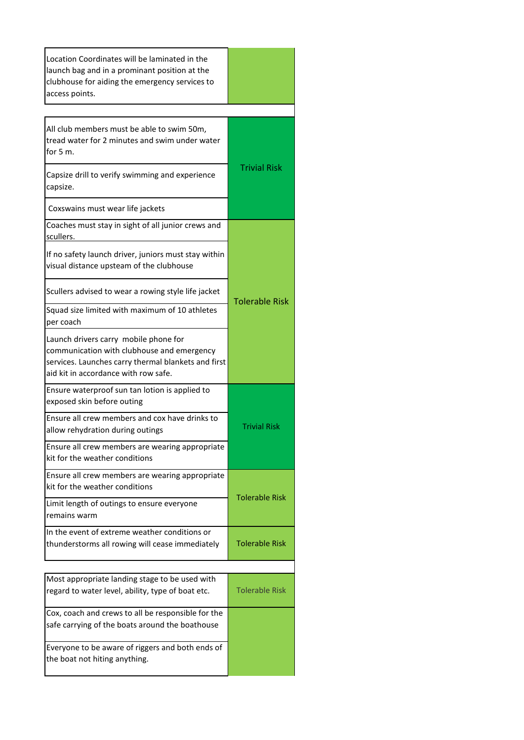| Location Coordinates will be laminated in the<br>launch bag and in a prominant position at the<br>clubhouse for aiding the emergency services to<br>access points.                 |                       |  |
|------------------------------------------------------------------------------------------------------------------------------------------------------------------------------------|-----------------------|--|
|                                                                                                                                                                                    |                       |  |
| All club members must be able to swim 50m,<br>tread water for 2 minutes and swim under water<br>for $5m$ .                                                                         |                       |  |
| Capsize drill to verify swimming and experience<br>capsize.                                                                                                                        | <b>Trivial Risk</b>   |  |
| Coxswains must wear life jackets                                                                                                                                                   |                       |  |
| Coaches must stay in sight of all junior crews and<br>scullers.                                                                                                                    |                       |  |
| If no safety launch driver, juniors must stay within<br>visual distance upsteam of the clubhouse                                                                                   | <b>Tolerable Risk</b> |  |
| Scullers advised to wear a rowing style life jacket                                                                                                                                |                       |  |
| Squad size limited with maximum of 10 athletes<br>per coach                                                                                                                        |                       |  |
| Launch drivers carry mobile phone for<br>communication with clubhouse and emergency<br>services. Launches carry thermal blankets and first<br>aid kit in accordance with row safe. |                       |  |
| Ensure waterproof sun tan lotion is applied to<br>exposed skin before outing                                                                                                       |                       |  |
| Ensure all crew members and cox have drinks to<br>allow rehydration during outings                                                                                                 | <b>Trivial Risk</b>   |  |
| Ensure all crew members are wearing appropriate<br>kit for the weather conditions                                                                                                  |                       |  |
| Ensure all crew members are wearing appropriate<br>kit for the weather conditions                                                                                                  | <b>Tolerable Risk</b> |  |
| Limit length of outings to ensure everyone<br>remains warm                                                                                                                         |                       |  |
| In the event of extreme weather conditions or<br>thunderstorms all rowing will cease immediately                                                                                   | <b>Tolerable Risk</b> |  |
|                                                                                                                                                                                    |                       |  |
| Most appropriate landing stage to be used with<br>regard to water level, ability, type of boat etc.                                                                                | <b>Tolerable Risk</b> |  |
| Cox, coach and crews to all be responsible for the<br>safe carrying of the boats around the boathouse                                                                              |                       |  |
| Everyone to be aware of riggers and both ends of<br>the boat not hiting anything.                                                                                                  |                       |  |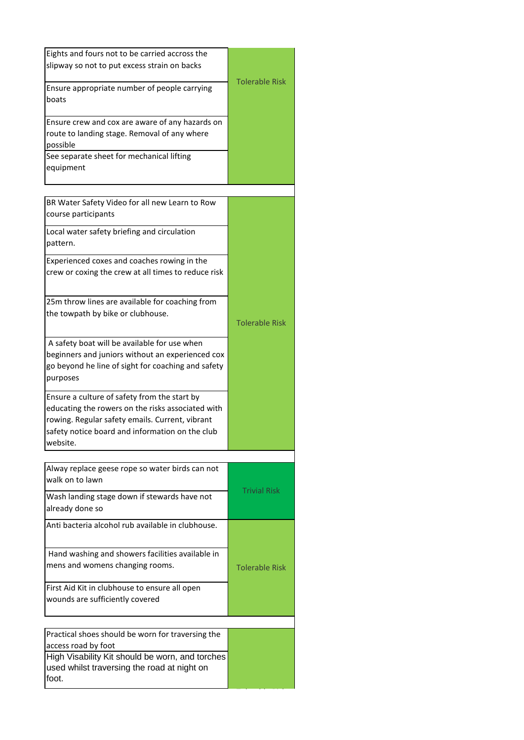| Eights and fours not to be carried accross the<br>slipway so not to put excess strain on backs                                                                                                                      |                       |
|---------------------------------------------------------------------------------------------------------------------------------------------------------------------------------------------------------------------|-----------------------|
| Ensure appropriate number of people carrying<br>boats                                                                                                                                                               | <b>Tolerable Risk</b> |
| Ensure crew and cox are aware of any hazards on<br>route to landing stage. Removal of any where<br>possible                                                                                                         |                       |
| See separate sheet for mechanical lifting<br>equipment                                                                                                                                                              |                       |
| BR Water Safety Video for all new Learn to Row<br>course participants                                                                                                                                               |                       |
| Local water safety briefing and circulation<br>pattern.                                                                                                                                                             |                       |
| Experienced coxes and coaches rowing in the<br>crew or coxing the crew at all times to reduce risk                                                                                                                  |                       |
| 25m throw lines are available for coaching from<br>the towpath by bike or clubhouse.                                                                                                                                | <b>Tolerable Risk</b> |
| A safety boat will be available for use when<br>beginners and juniors without an experienced cox<br>go beyond he line of sight for coaching and safety<br>purposes                                                  |                       |
| Ensure a culture of safety from the start by<br>educating the rowers on the risks associated with<br>rowing. Regular safety emails. Current, vibrant<br>safety notice board and information on the club<br>website. |                       |
| Alway replace geese rope so water birds can not<br>walk on to lawn                                                                                                                                                  |                       |
| Wash landing stage down if stewards have not<br>already done so                                                                                                                                                     | <b>Trivial Risk</b>   |
| Anti bacteria alcohol rub available in clubhouse.                                                                                                                                                                   |                       |
| Hand washing and showers facilities available in<br>mens and womens changing rooms.                                                                                                                                 | <b>Tolerable Risk</b> |
| First Aid Kit in clubhouse to ensure all open<br>wounds are sufficiently covered                                                                                                                                    |                       |
|                                                                                                                                                                                                                     |                       |
| Practical shoes should be worn for traversing the<br>access road by foot                                                                                                                                            |                       |
| High Visability Kit should be worn, and torches<br>used whilst traversing the road at night on<br>foot.                                                                                                             |                       |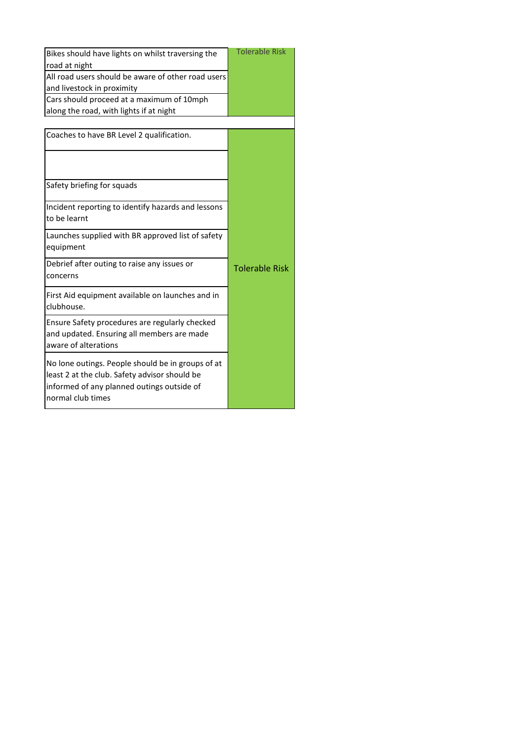| Bikes should have lights on whilst traversing the<br>road at night                                                                                                    | <b>Tolerable Risk</b> |
|-----------------------------------------------------------------------------------------------------------------------------------------------------------------------|-----------------------|
| All road users should be aware of other road users<br>and livestock in proximity                                                                                      |                       |
| Cars should proceed at a maximum of 10mph                                                                                                                             |                       |
| along the road, with lights if at night                                                                                                                               |                       |
|                                                                                                                                                                       |                       |
| Coaches to have BR Level 2 qualification.                                                                                                                             |                       |
|                                                                                                                                                                       |                       |
| Safety briefing for squads                                                                                                                                            |                       |
| Incident reporting to identify hazards and lessons<br>to be learnt                                                                                                    |                       |
| Launches supplied with BR approved list of safety<br>equipment                                                                                                        |                       |
| Debrief after outing to raise any issues or<br>concerns                                                                                                               | <b>Tolerable Risk</b> |
| First Aid equipment available on launches and in<br>clubhouse.                                                                                                        |                       |
| Ensure Safety procedures are regularly checked<br>and updated. Ensuring all members are made<br>aware of alterations                                                  |                       |
| No lone outings. People should be in groups of at<br>least 2 at the club. Safety advisor should be<br>informed of any planned outings outside of<br>normal club times |                       |